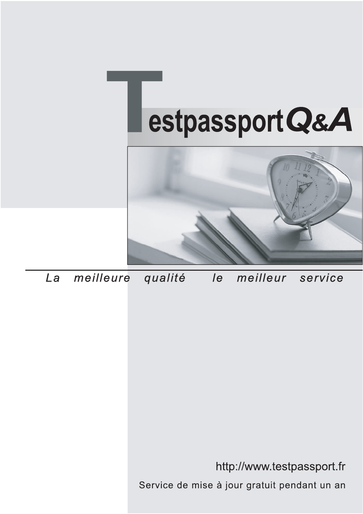



meilleure La qualité  $\overline{e}$ meilleur service

http://www.testpassport.fr

Service de mise à jour gratuit pendant un an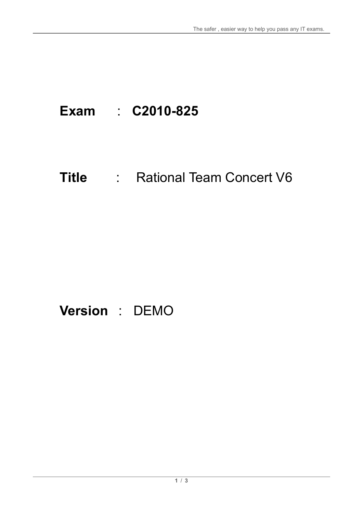# **Exam** : **C2010-825**

# **Title** : Rational Team Concert V6

## **Version** : DEMO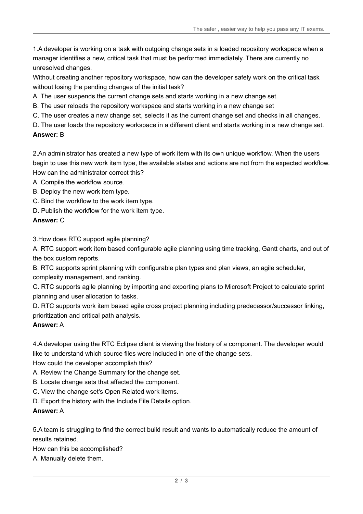1.A developer is working on a task with outgoing change sets in a loaded repository workspace when a manager identifies a new, critical task that must be performed immediately. There are currently no unresolved changes.

Without creating another repository workspace, how can the developer safely work on the critical task without losing the pending changes of the initial task?

- A. The user suspends the current change sets and starts working in a new change set.
- B. The user reloads the repository workspace and starts working in a new change set
- C. The user creates a new change set, selects it as the current change set and checks in all changes.
- D. The user loads the repository workspace in a different client and starts working in a new change set.

### **Answer:** B

2.An administrator has created a new type of work item with its own unique workflow. When the users begin to use this new work item type, the available states and actions are not from the expected workflow. How can the administrator correct this?

- A. Compile the workflow source.
- B. Deploy the new work item type.
- C. Bind the workflow to the work item type.
- D. Publish the workflow for the work item type.

#### **Answer:** C

3.How does RTC support agile planning?

A. RTC support work item based configurable agile planning using time tracking, Gantt charts, and out of the box custom reports.

B. RTC supports sprint planning with configurable plan types and plan views, an agile scheduler,

complexity management, and ranking.

C. RTC supports agile planning by importing and exporting plans to Microsoft Project to calculate sprint planning and user allocation to tasks.

D. RTC supports work item based agile cross project planning including predecessor/successor linking, prioritization and critical path analysis.

#### **Answer:** A

4.A developer using the RTC Eclipse client is viewing the history of a component. The developer would like to understand which source files were included in one of the change sets.

How could the developer accomplish this?

- A. Review the Change Summary for the change set.
- B. Locate change sets that affected the component.
- C. View the change set's Open Related work items.
- D. Export the history with the Include File Details option.

### **Answer:** A

5.A team is struggling to find the correct build result and wants to automatically reduce the amount of results retained.

- How can this be accomplished?
- A. Manually delete them.